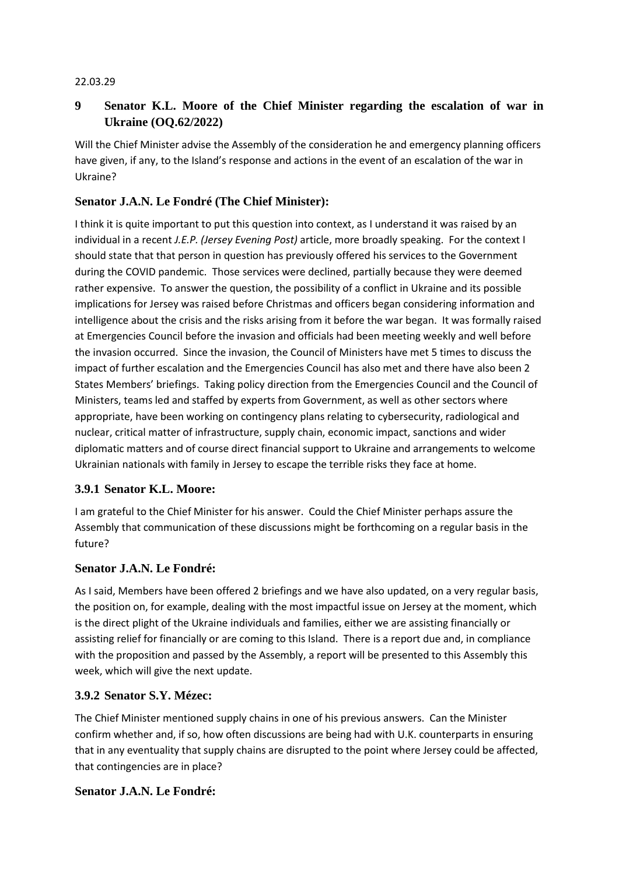#### 22.03.29

# **9 Senator K.L. Moore of the Chief Minister regarding the escalation of war in Ukraine (OQ.62/2022)**

Will the Chief Minister advise the Assembly of the consideration he and emergency planning officers have given, if any, to the Island's response and actions in the event of an escalation of the war in Ukraine?

### **Senator J.A.N. Le Fondré (The Chief Minister):**

I think it is quite important to put this question into context, as I understand it was raised by an individual in a recent *J.E.P. (Jersey Evening Post)* article, more broadly speaking. For the context I should state that that person in question has previously offered his services to the Government during the COVID pandemic. Those services were declined, partially because they were deemed rather expensive. To answer the question, the possibility of a conflict in Ukraine and its possible implications for Jersey was raised before Christmas and officers began considering information and intelligence about the crisis and the risks arising from it before the war began. It was formally raised at Emergencies Council before the invasion and officials had been meeting weekly and well before the invasion occurred. Since the invasion, the Council of Ministers have met 5 times to discuss the impact of further escalation and the Emergencies Council has also met and there have also been 2 States Members' briefings. Taking policy direction from the Emergencies Council and the Council of Ministers, teams led and staffed by experts from Government, as well as other sectors where appropriate, have been working on contingency plans relating to cybersecurity, radiological and nuclear, critical matter of infrastructure, supply chain, economic impact, sanctions and wider diplomatic matters and of course direct financial support to Ukraine and arrangements to welcome Ukrainian nationals with family in Jersey to escape the terrible risks they face at home.

### **3.9.1 Senator K.L. Moore:**

I am grateful to the Chief Minister for his answer. Could the Chief Minister perhaps assure the Assembly that communication of these discussions might be forthcoming on a regular basis in the future?

#### **Senator J.A.N. Le Fondré:**

As I said, Members have been offered 2 briefings and we have also updated, on a very regular basis, the position on, for example, dealing with the most impactful issue on Jersey at the moment, which is the direct plight of the Ukraine individuals and families, either we are assisting financially or assisting relief for financially or are coming to this Island. There is a report due and, in compliance with the proposition and passed by the Assembly, a report will be presented to this Assembly this week, which will give the next update.

#### **3.9.2 Senator S.Y. Mézec:**

The Chief Minister mentioned supply chains in one of his previous answers. Can the Minister confirm whether and, if so, how often discussions are being had with U.K. counterparts in ensuring that in any eventuality that supply chains are disrupted to the point where Jersey could be affected, that contingencies are in place?

#### **Senator J.A.N. Le Fondré:**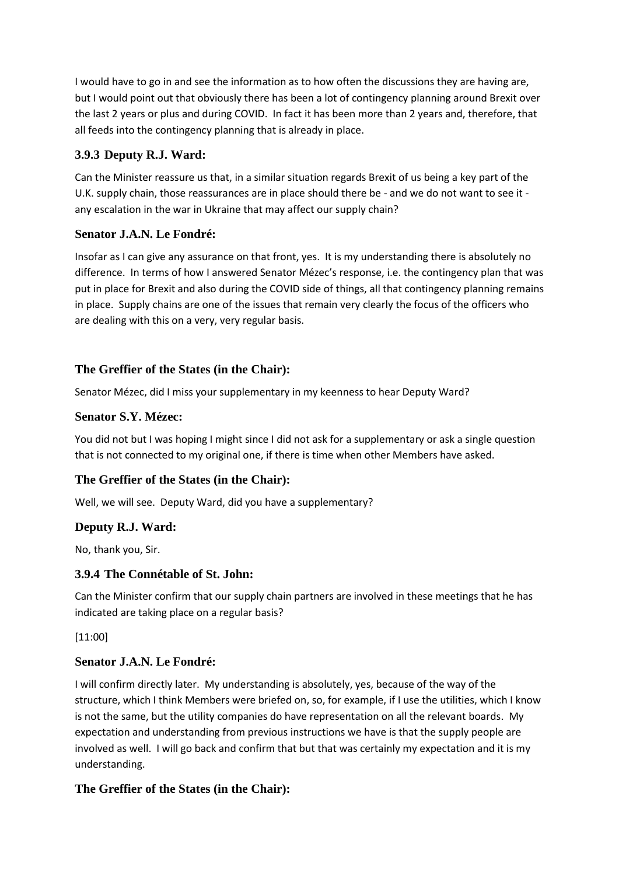I would have to go in and see the information as to how often the discussions they are having are, but I would point out that obviously there has been a lot of contingency planning around Brexit over the last 2 years or plus and during COVID. In fact it has been more than 2 years and, therefore, that all feeds into the contingency planning that is already in place.

# **3.9.3 Deputy R.J. Ward:**

Can the Minister reassure us that, in a similar situation regards Brexit of us being a key part of the U.K. supply chain, those reassurances are in place should there be - and we do not want to see it any escalation in the war in Ukraine that may affect our supply chain?

## **Senator J.A.N. Le Fondré:**

Insofar as I can give any assurance on that front, yes. It is my understanding there is absolutely no difference. In terms of how I answered Senator Mézec's response, i.e. the contingency plan that was put in place for Brexit and also during the COVID side of things, all that contingency planning remains in place. Supply chains are one of the issues that remain very clearly the focus of the officers who are dealing with this on a very, very regular basis.

## **The Greffier of the States (in the Chair):**

Senator Mézec, did I miss your supplementary in my keenness to hear Deputy Ward?

## **Senator S.Y. Mézec:**

You did not but I was hoping I might since I did not ask for a supplementary or ask a single question that is not connected to my original one, if there is time when other Members have asked.

# **The Greffier of the States (in the Chair):**

Well, we will see. Deputy Ward, did you have a supplementary?

### **Deputy R.J. Ward:**

No, thank you, Sir.

### **3.9.4 The Connétable of St. John:**

Can the Minister confirm that our supply chain partners are involved in these meetings that he has indicated are taking place on a regular basis?

[11:00]

### **Senator J.A.N. Le Fondré:**

I will confirm directly later. My understanding is absolutely, yes, because of the way of the structure, which I think Members were briefed on, so, for example, if I use the utilities, which I know is not the same, but the utility companies do have representation on all the relevant boards. My expectation and understanding from previous instructions we have is that the supply people are involved as well. I will go back and confirm that but that was certainly my expectation and it is my understanding.

### **The Greffier of the States (in the Chair):**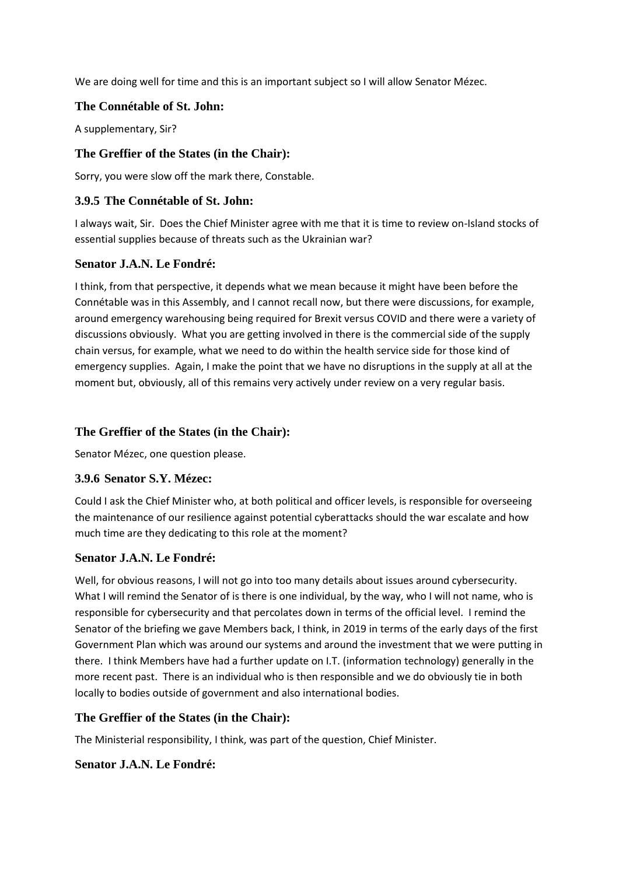We are doing well for time and this is an important subject so I will allow Senator Mézec.

#### **The Connétable of St. John:**

A supplementary, Sir?

### **The Greffier of the States (in the Chair):**

Sorry, you were slow off the mark there, Constable.

### **3.9.5 The Connétable of St. John:**

I always wait, Sir. Does the Chief Minister agree with me that it is time to review on-Island stocks of essential supplies because of threats such as the Ukrainian war?

#### **Senator J.A.N. Le Fondré:**

I think, from that perspective, it depends what we mean because it might have been before the Connétable was in this Assembly, and I cannot recall now, but there were discussions, for example, around emergency warehousing being required for Brexit versus COVID and there were a variety of discussions obviously. What you are getting involved in there is the commercial side of the supply chain versus, for example, what we need to do within the health service side for those kind of emergency supplies. Again, I make the point that we have no disruptions in the supply at all at the moment but, obviously, all of this remains very actively under review on a very regular basis.

### **The Greffier of the States (in the Chair):**

Senator Mézec, one question please.

#### **3.9.6 Senator S.Y. Mézec:**

Could I ask the Chief Minister who, at both political and officer levels, is responsible for overseeing the maintenance of our resilience against potential cyberattacks should the war escalate and how much time are they dedicating to this role at the moment?

#### **Senator J.A.N. Le Fondré:**

Well, for obvious reasons, I will not go into too many details about issues around cybersecurity. What I will remind the Senator of is there is one individual, by the way, who I will not name, who is responsible for cybersecurity and that percolates down in terms of the official level. I remind the Senator of the briefing we gave Members back, I think, in 2019 in terms of the early days of the first Government Plan which was around our systems and around the investment that we were putting in there. I think Members have had a further update on I.T. (information technology) generally in the more recent past. There is an individual who is then responsible and we do obviously tie in both locally to bodies outside of government and also international bodies.

### **The Greffier of the States (in the Chair):**

The Ministerial responsibility, I think, was part of the question, Chief Minister.

### **Senator J.A.N. Le Fondré:**